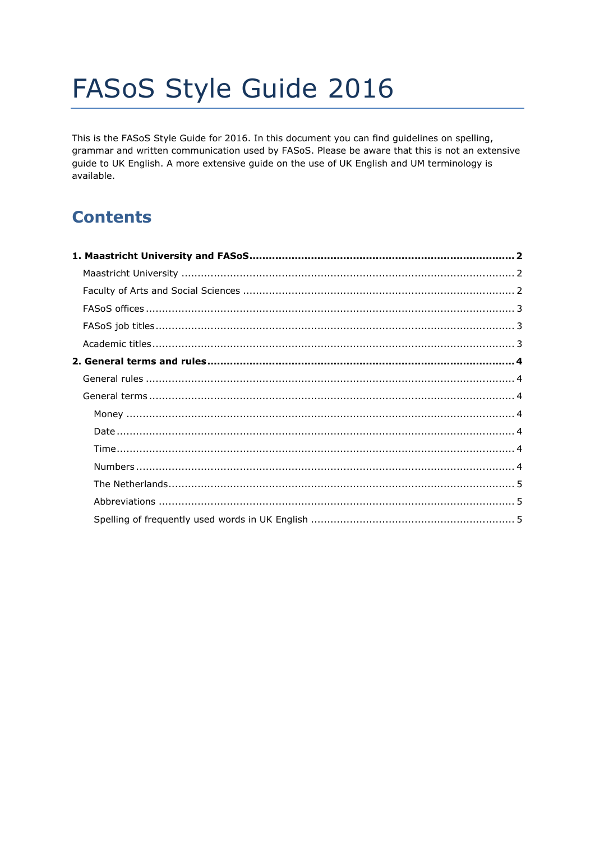# FASoS Style Guide 2016

This is the FASoS Style Guide for 2016. In this document you can find guidelines on spelling, grammar and written communication used by FASoS. Please be aware that this is not an extensive guide to UK English. A more extensive guide on the use of UK English and UM terminology is available.

## **Contents**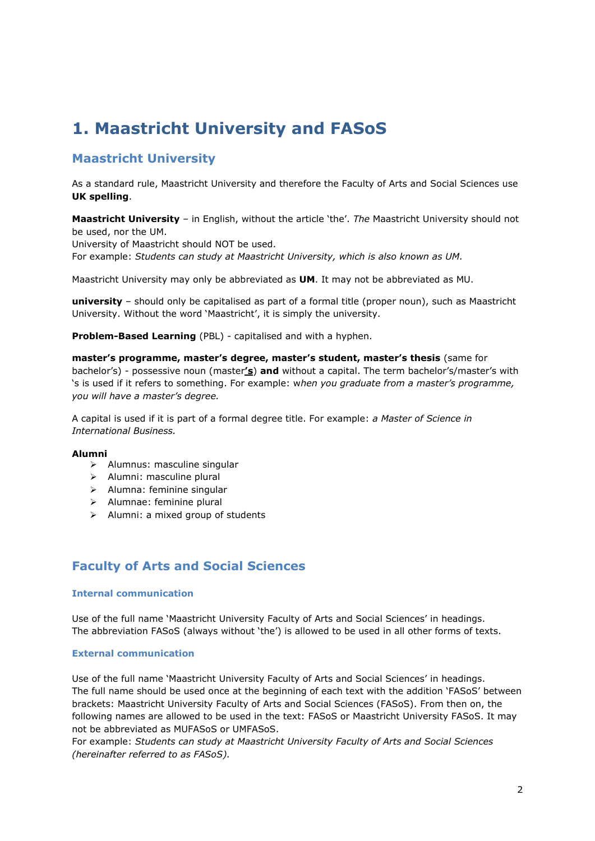# <span id="page-1-0"></span>**1. Maastricht University and FASoS**

## <span id="page-1-1"></span>**Maastricht University**

As a standard rule, Maastricht University and therefore the Faculty of Arts and Social Sciences use **UK spelling**.

**Maastricht University** – in English, without the article 'the'. *The* Maastricht University should not be used, nor the UM.

University of Maastricht should NOT be used. For example: *Students can study at Maastricht University, which is also known as UM.* 

Maastricht University may only be abbreviated as **UM**. It may not be abbreviated as MU.

**university** – should only be capitalised as part of a formal title (proper noun), such as Maastricht University. Without the word 'Maastricht', it is simply the university.

**Problem-Based Learning** (PBL) - capitalised and with a hyphen.

**master's programme, master's degree, master's student, master's thesis** (same for bachelor's) - possessive noun (master**'s**) **and** without a capital. The term bachelor's/master's with 's is used if it refers to something. For example: w*hen you graduate from a master's programme, you will have a master's degree.* 

A capital is used if it is part of a formal degree title. For example: *a Master of Science in International Business.*

### **Alumni**

- $\triangleright$  Alumnus: masculine singular
- $\triangleright$  Alumni: masculine plural
- $\triangleright$  Alumna: feminine singular
- $\triangleright$  Alumnae: feminine plural
- $\triangleright$  Alumni: a mixed group of students

## <span id="page-1-2"></span>**Faculty of Arts and Social Sciences**

### **Internal communication**

Use of the full name 'Maastricht University Faculty of Arts and Social Sciences' in headings. The abbreviation FASoS (always without 'the') is allowed to be used in all other forms of texts.

### **External communication**

Use of the full name 'Maastricht University Faculty of Arts and Social Sciences' in headings. The full name should be used once at the beginning of each text with the addition 'FASoS' between brackets: Maastricht University Faculty of Arts and Social Sciences (FASoS). From then on, the following names are allowed to be used in the text: FASoS or Maastricht University FASoS. It may not be abbreviated as MUFASoS or UMFASoS.

For example: *Students can study at Maastricht University Faculty of Arts and Social Sciences (hereinafter referred to as FASoS).*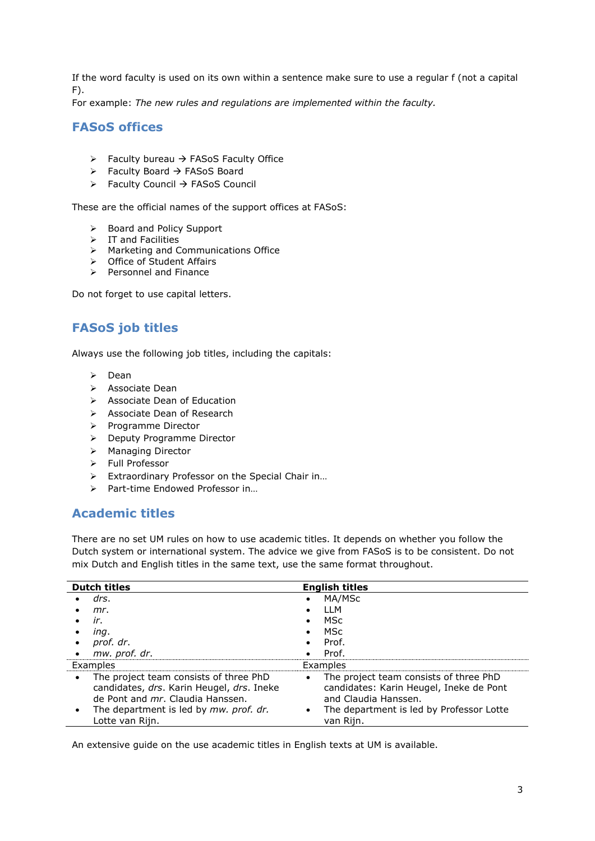If the word faculty is used on its own within a sentence make sure to use a regular f (not a capital  $F$ ).

For example: *The new rules and regulations are implemented within the faculty.*

## <span id="page-2-0"></span>**FASoS offices**

- $\triangleright$  Faculty bureau  $\rightarrow$  FASoS Faculty Office
- $\triangleright$  Faculty Board  $\rightarrow$  FASoS Board
- $\triangleright$  Faculty Council  $\rightarrow$  FASoS Council

These are the official names of the support offices at FASoS:

- > Board and Policy Support
- $\triangleright$  IT and Facilities
- Marketing and Communications Office
- $\triangleright$  Office of Student Affairs
- $\triangleright$  Personnel and Finance

Do not forget to use capital letters.

## <span id="page-2-1"></span>**FASoS job titles**

Always use the following job titles, including the capitals:

- $\triangleright$  Dean
- Associate Dean
- $\triangleright$  Associate Dean of Education
- Associate Dean of Research
- > Programme Director
- ▶ Deputy Programme Director
- > Managing Director
- > Full Professor
- Extraordinary Professor on the Special Chair in…
- Part-time Endowed Professor in…

## <span id="page-2-2"></span>**Academic titles**

There are no set UM rules on how to use academic titles. It depends on whether you follow the Dutch system or international system. The advice we give from FASoS is to be consistent. Do not mix Dutch and English titles in the same text, use the same format throughout.

| <b>Dutch titles</b>                                                                                                                          | <b>English titles</b>                                                                                                  |
|----------------------------------------------------------------------------------------------------------------------------------------------|------------------------------------------------------------------------------------------------------------------------|
| drs.                                                                                                                                         | MA/MSc                                                                                                                 |
| mr.                                                                                                                                          | IIM                                                                                                                    |
| ir.                                                                                                                                          | MSc                                                                                                                    |
| ing.                                                                                                                                         | MSc                                                                                                                    |
| prof. dr.<br>$\bullet$                                                                                                                       | Prof.                                                                                                                  |
| mw. prof. dr.                                                                                                                                | Prof.                                                                                                                  |
| Examples                                                                                                                                     | Examples                                                                                                               |
| The project team consists of three PhD<br>$\bullet$<br>candidates, drs. Karin Heugel, drs. Ineke<br>de Pont and <i>mr</i> . Claudia Hanssen. | The project team consists of three PhD<br>$\bullet$<br>candidates: Karin Heugel, Ineke de Pont<br>and Claudia Hanssen. |
| The department is led by mw. prof. dr.<br>Lotte van Riin.                                                                                    | The department is led by Professor Lotte<br>$\bullet$<br>van Rijn.                                                     |
|                                                                                                                                              |                                                                                                                        |

An extensive guide on the use academic titles in English texts at UM is available.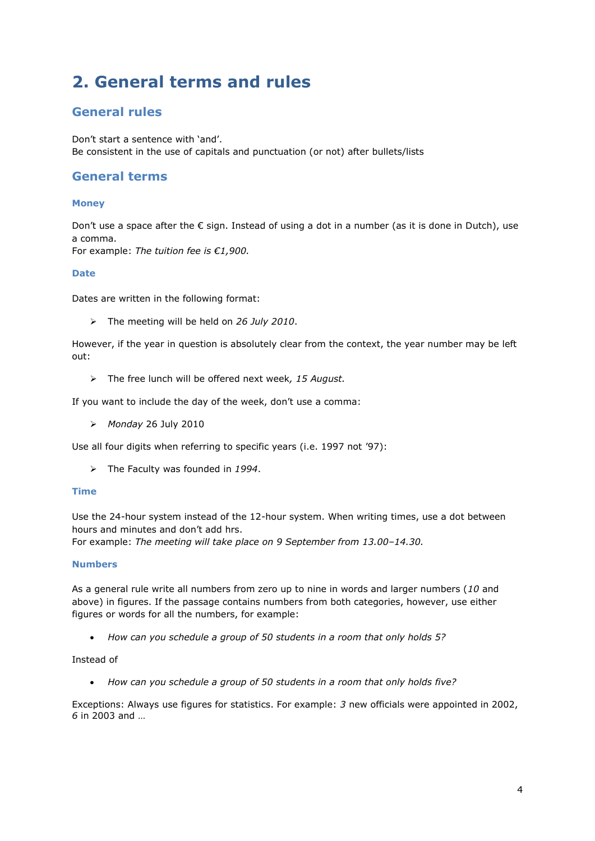# <span id="page-3-0"></span>**2. General terms and rules**

## <span id="page-3-1"></span>**General rules**

Don't start a sentence with 'and'. Be consistent in the use of capitals and punctuation (or not) after bullets/lists

## <span id="page-3-2"></span>**General terms**

## <span id="page-3-3"></span>**Money**

Don't use a space after the € sign. Instead of using a dot in a number (as it is done in Dutch), use a comma.

For example: *The tuition fee is €1,900.*

## <span id="page-3-4"></span>**Date**

Dates are written in the following format:

The meeting will be held on *26 July 2010*.

However, if the year in question is absolutely clear from the context, the year number may be left out:

The free lunch will be offered next week*, 15 August.* 

If you want to include the day of the week, don't use a comma:

*Monday* 26 July 2010

Use all four digits when referring to specific years (i.e. 1997 not '97):

The Faculty was founded in *1994*.

### <span id="page-3-5"></span>**Time**

Use the 24-hour system instead of the 12-hour system. When writing times, use a dot between hours and minutes and don't add hrs.

For example: *The meeting will take place on 9 September from 13.00–14.30.* 

### <span id="page-3-6"></span>**Numbers**

As a general rule write all numbers from zero up to nine in words and larger numbers (*10* and above) in figures. If the passage contains numbers from both categories, however, use either figures or words for all the numbers, for example:

*How can you schedule a group of 50 students in a room that only holds 5?* 

### Instead of

*How can you schedule a group of 50 students in a room that only holds five?* 

Exceptions: Always use figures for statistics. For example: *3* new officials were appointed in 2002, *6* in 2003 and …